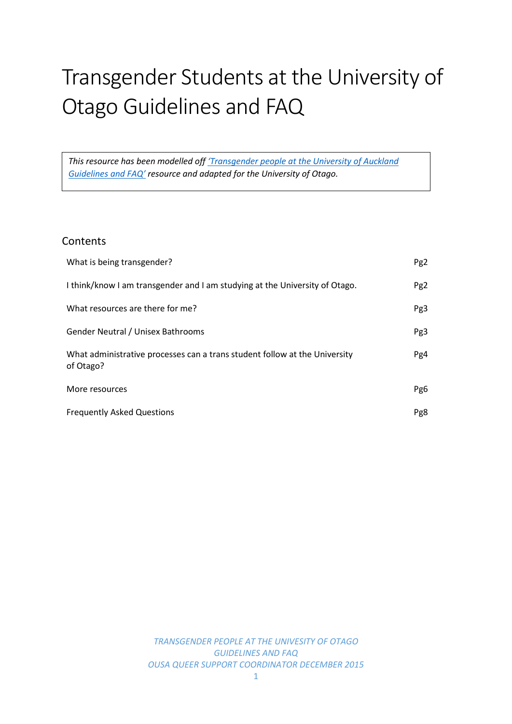# Transgender Students at the University of Otago Guidelines and FAQ

*This resource has been modelled off ['Transgender people at the University of Auckland](https://cdn.auckland.ac.nz/assets/central/about/equal-opportunities/Transgender%20people%20at%20the%20UoA%20Guidelines%20&%20FAQs%20June%202015.pdf)  [Guidelines and FAQ'](https://cdn.auckland.ac.nz/assets/central/about/equal-opportunities/Transgender%20people%20at%20the%20UoA%20Guidelines%20&%20FAQs%20June%202015.pdf) resource and adapted for the University of Otago.*

# **Contents**

| What is being transgender?                                                              | Pg <sub>2</sub> |
|-----------------------------------------------------------------------------------------|-----------------|
| I think/know I am transgender and I am studying at the University of Otago.             | Pg <sub>2</sub> |
| What resources are there for me?                                                        | Pg3             |
| Gender Neutral / Unisex Bathrooms                                                       | Pg3             |
| What administrative processes can a trans student follow at the University<br>of Otago? | Pg4             |
| More resources                                                                          | Pg6             |
| <b>Frequently Asked Questions</b>                                                       | Pg8             |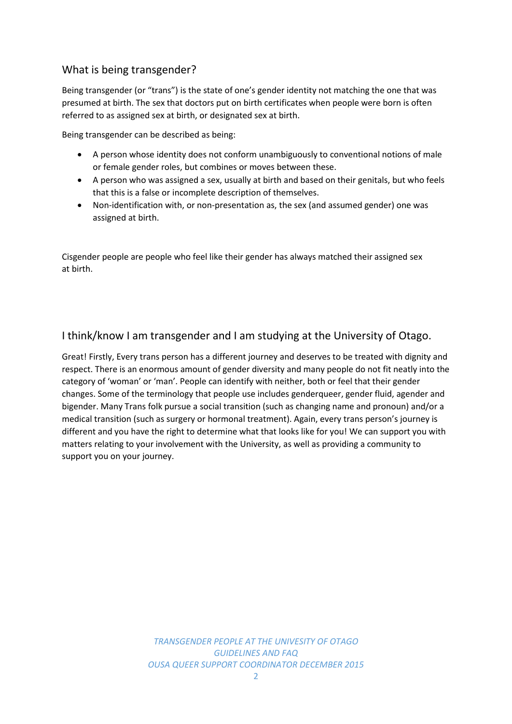# What is being transgender?

Being transgender (or "trans") is the state of one's gender identity not matching the one that was presumed at birth. The sex that doctors put on birth certificates when people were born is often referred to as assigned sex at birth, or designated sex at birth.

Being transgender can be described as being:

- A person whose identity does not conform unambiguously to conventional notions of male or female gender roles, but combines or moves between these.
- A person who was assigned a sex, usually at birth and based on their genitals, but who feels that this is a false or incomplete description of themselves.
- Non-identification with, or non-presentation as, the sex (and assumed gender) one was assigned at birth.

Cisgender people are people who feel like their gender has always matched their assigned sex at birth.

# I think/know I am transgender and I am studying at the University of Otago.

Great! Firstly, Every trans person has a different journey and deserves to be treated with dignity and respect. There is an enormous amount of gender diversity and many people do not fit neatly into the category of 'woman' or 'man'. People can identify with neither, both or feel that their gender changes. Some of the terminology that people use includes genderqueer, gender fluid, agender and bigender. Many Trans folk pursue a social transition (such as changing name and pronoun) and/or a medical transition (such as surgery or hormonal treatment). Again, every trans person's journey is different and you have the right to determine what that looks like for you! We can support you with matters relating to your involvement with the University, as well as providing a community to support you on your journey.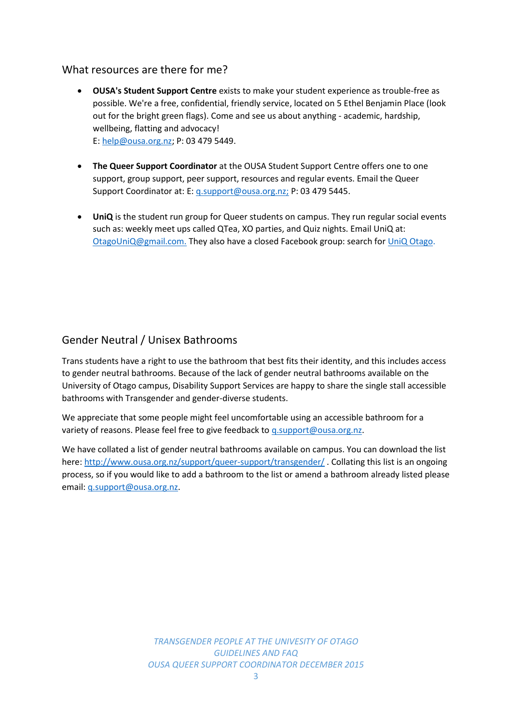## What resources are there for me?

- **OUSA's Student Support Centre** exists to make your student experience as trouble-free as possible. We're a free, confidential, friendly service, located on 5 Ethel Benjamin Place (look out for the bright green flags). Come and see us about anything - academic, hardship, wellbeing, flatting and advocacy! E: [help@ousa.org.nz;](mailto:help@ousa.org.nz) P: 03 479 5449.
- **The Queer Support Coordinator** at the OUSA Student Support Centre offers one to one support, group support, peer support, resources and regular events. Email the Queer Support Coordinator at: E: [q.support@ousa.org.nz;](mailto:q.support@ousa.org.nz) P: 03 479 5445.
- **UniQ** is the student run group for Queer students on campus. They run regular social events such as: weekly meet ups called QTea, XO parties, and Quiz nights. Email UniQ at: [OtagoUniQ@gmail.com.](mailto:OtagoUniQ@gmail.com) They also have a closed Facebook group: search for [UniQ Otago.](https://www.facebook.com/groups/633123753481327/)

# Gender Neutral / Unisex Bathrooms

Trans students have a right to use the bathroom that best fits their identity, and this includes access to gender neutral bathrooms. Because of the lack of gender neutral bathrooms available on the University of Otago campus, Disability Support Services are happy to share the single stall accessible bathrooms with Transgender and gender-diverse students.

We appreciate that some people might feel uncomfortable using an accessible bathroom for a variety of reasons. Please feel free to give feedback to g.support@ousa.org.nz.

We have collated a list of gender neutral bathrooms available on campus. You can download the list here:<http://www.ousa.org.nz/support/queer-support/transgender/> . Collating this list is an ongoing process, so if you would like to add a bathroom to the list or amend a bathroom already listed please email: [q.support@ousa.org.nz.](mailto:q.support@ousa.org.nz)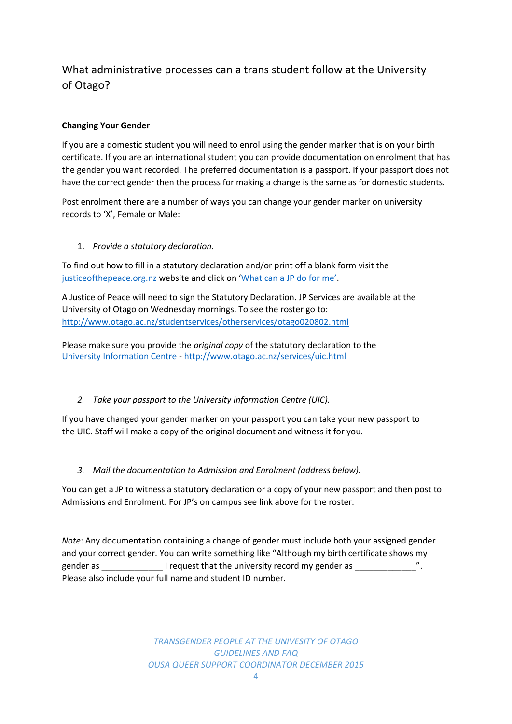# What administrative processes can a trans student follow at the University of Otago?

## **Changing Your Gender**

If you are a domestic student you will need to enrol using the gender marker that is on your birth certificate. If you are an international student you can provide documentation on enrolment that has the gender you want recorded. The preferred documentation is a passport. If your passport does not have the correct gender then the process for making a change is the same as for domestic students.

Post enrolment there are a number of ways you can change your gender marker on university records to 'X', Female or Male:

#### 1. *Provide a statutory declaration*.

To find out how to fill in a statutory declaration and/or print off a blank form visit the justice of the peace.org.nz website and click on ['What can a JP do for me'](http://justiceofthepeace.org.nz/What+Can+a+JP+Do+For+Me/Statutory+Declaration.html).

A Justice of Peace will need to sign the Statutory Declaration. JP Services are available at the University of Otago on Wednesday mornings. To see the roster go to: <http://www.otago.ac.nz/studentservices/otherservices/otago020802.html>

Please make sure you provide the *original copy* of the statutory declaration to the [University Information Centre](http://www.otago.ac.nz/services/uic.html) - <http://www.otago.ac.nz/services/uic.html>

## *2. Take your passport to the University Information Centre (UIC).*

If you have changed your gender marker on your passport you can take your new passport to the UIC. Staff will make a copy of the original document and witness it for you.

#### *3. Mail the documentation to Admission and Enrolment (address below).*

You can get a JP to witness a statutory declaration or a copy of your new passport and then post to Admissions and Enrolment. For JP's on campus see link above for the roster.

*Note*: Any documentation containing a change of gender must include both your assigned gender and your correct gender. You can write something like "Although my birth certificate shows my gender as \_\_\_\_\_\_\_\_\_\_\_\_\_\_\_\_\_\_\_\_I request that the university record my gender as \_\_\_\_\_\_\_\_\_\_\_\_\_\_\_\_\_\_\_ Please also include your full name and student ID number.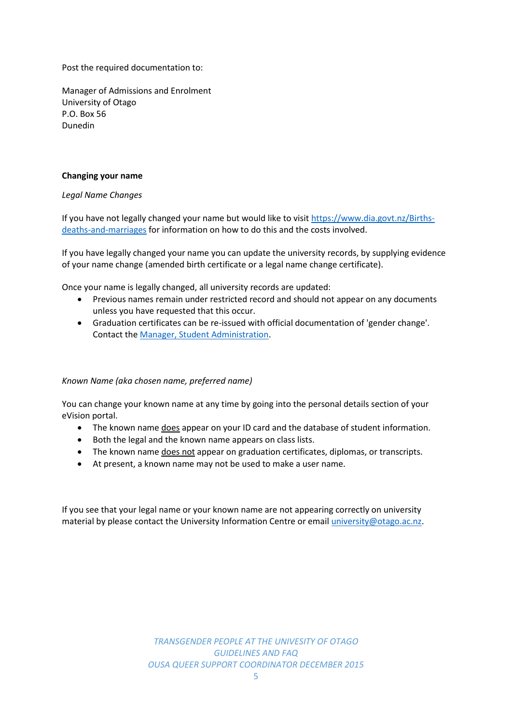Post the required documentation to:

Manager of Admissions and Enrolment University of Otago P.O. Box 56 Dunedin

#### **Changing your name**

*Legal Name Changes*

If you have not legally changed your name but would like to visit [https://www.dia.govt.nz/Births](https://www.dia.govt.nz/Births-deaths-and-marriages)[deaths-and-marriages](https://www.dia.govt.nz/Births-deaths-and-marriages) for information on how to do this and the costs involved.

If you have legally changed your name you can update the university records, by supplying evidence of your name change (amended birth certificate or a legal name change certificate).

Once your name is legally changed, all university records are updated:

- Previous names remain under restricted record and should not appear on any documents unless you have requested that this occur.
- Graduation certificates can be re-issued with official documentation of 'gender change'. Contact th[e Manager, Student Administration.](http://www.otago.ac.nz/administration/otago028374.html)

#### *Known Name (aka chosen name, preferred name)*

You can change your known name at any time by going into the personal details section of your eVision portal.

- The known name does appear on your ID card and the database of student information.
- Both the legal and the known name appears on class lists.
- The known name does not appear on graduation certificates, diplomas, or transcripts.
- At present, a known name may not be used to make a user name.

If you see that your legal name or your known name are not appearing correctly on university material by please contact the University Information Centre or email *university@otago.ac.nz.*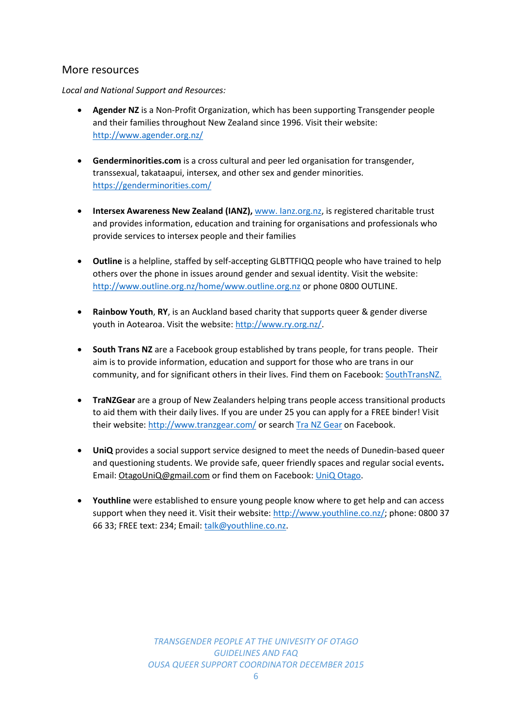# More resources

*Local and National Support and Resources:*

- **Agender NZ** is a Non-Profit Organization, which has been supporting Transgender people and their families throughout New Zealand since 1996. Visit their website: <http://www.agender.org.nz/>
- **Genderminorities.com** is a cross cultural and peer led organisation for transgender, transsexual, takataapui, intersex, and other sex and gender minorities. <https://genderminorities.com/>
- **Intersex Awareness New Zealand (IANZ), www. lanz.org.nz, is registered charitable trust** and provides information, education and training for organisations and professionals who provide services to intersex people and their families
- **Outline** is a helpline, staffed by self-accepting GLBTTFIQQ people who have trained to help others over the phone in issues around gender and sexual identity. Visit the website: <http://www.outline.org.nz/home/www.outline.org.nz> or phone 0800 OUTLINE.
- **Rainbow Youth**, **RY**, is an Auckland based charity that supports queer & gender diverse youth in Aotearoa. Visit the website: [http://www.ry.org.nz/.](http://www.ry.org.nz/)
- **South Trans NZ** are a Facebook group established by trans people, for trans people. Their aim is to provide information, education and support for those who are trans in our community, and for significant others in their lives. Find them on Facebook: [SouthTransNZ.](https://www.facebook.com/groups/253517424750537/?ref=ts&fref=ts)
- **TraNZGear** are a group of New Zealanders helping trans people access transitional products to aid them with their daily lives. If you are under 25 you can apply for a FREE binder! Visit their website:<http://www.tranzgear.com/> or searc[h Tra NZ Gear](https://www.facebook.com/nztransgear/info/) on Facebook.
- **UniQ** provides a social support service designed to meet the needs of Dunedin-based queer and questioning students. We provide safe, queer friendly spaces and regular social events**.**  Email: [OtagoUniQ@gmail.com](mailto:OtagoUniQ@gmail.com) or find them on Facebook: UniQ [Otago.](https://www.facebook.com/groups/otagouniq/)
- **Youthline** were established to ensure young people know where to get help and can access support when they need it. Visit their website: [http://www.youthline.co.nz/;](http://www.youthline.co.nz/) phone: 0800 37 66 33; FREE text: 234; Email[: talk@youthline.co.nz.](mailto:talk@youthline.co.nz)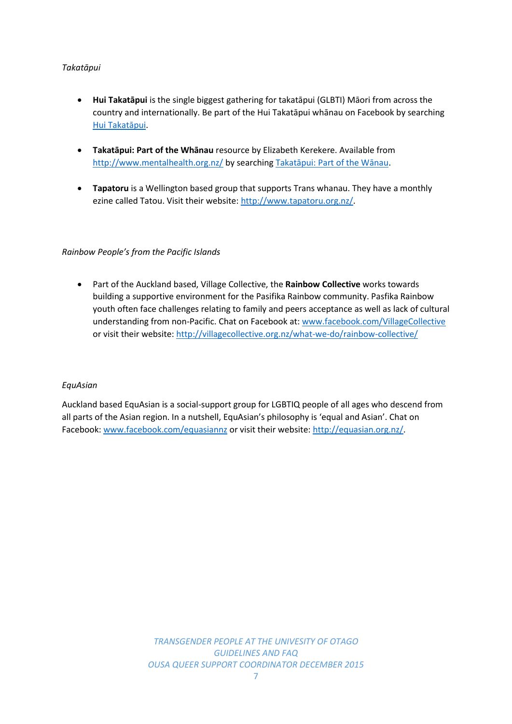#### *Takatāpui*

- **Hui Takatāpui** is the single biggest gathering for takatāpui (GLBTI) Māori from across the country and internationally. Be part of the Hui Takatāpui whānau on Facebook by searching [Hui Takatāpui](https://www.facebook.com/Hui-Takat%C4%81pui-135249699838841/timeline).
- **Takatāpui: Part of the Whānau** resource by Elizabeth Kerekere. Available from <http://www.mentalhealth.org.nz/> by searching [Takatāpui: Part of the Wānau](http://www.mentalhealth.org.nz/assets/ResourceFinder/takatapui.pdf).
- **Tapatoru** is a Wellington based group that supports Trans whanau. They have a monthly ezine called Tatou. Visit their website: [http://www.tapatoru.org.nz/.](http://www.tapatoru.org.nz/)

#### *Rainbow People's from the Pacific Islands*

 Part of the Auckland based, Village Collective, the **Rainbow Collective** works towards building a supportive environment for the Pasifika Rainbow community. Pasfika Rainbow youth often face challenges relating to family and peers acceptance as well as lack of cultural understanding from non-Pacific. Chat on Facebook at: [www.facebook.com/VillageCollective](http://www.facebook.com/VillageCollective) or visit their website:<http://villagecollective.org.nz/what-we-do/rainbow-collective/>

#### *EquAsian*

Auckland based EquAsian is a social-support group for LGBTIQ people of all ages who descend from all parts of the Asian region. In a nutshell, EquAsian's philosophy is 'equal and Asian'. Chat on Facebook: [www.facebook.com/equasiannz](http://www.facebook.com/equasiannz) or visit their website[: http://equasian.org.nz/.](http://equasian.org.nz/)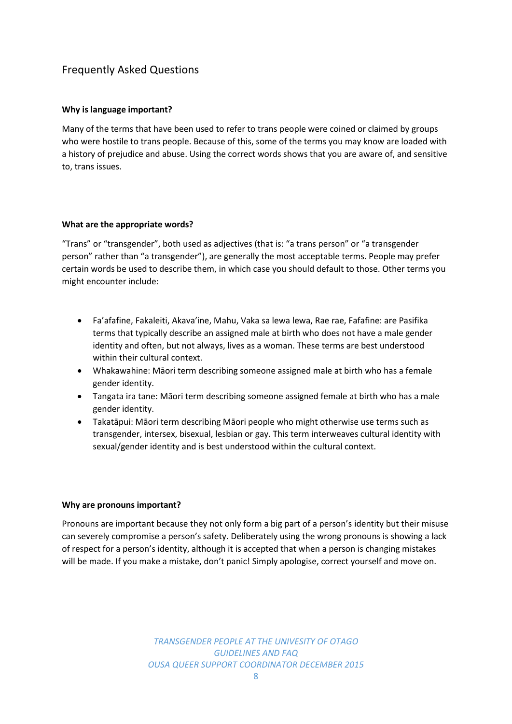# Frequently Asked Questions

#### **Why is language important?**

Many of the terms that have been used to refer to trans people were coined or claimed by groups who were hostile to trans people. Because of this, some of the terms you may know are loaded with a history of prejudice and abuse. Using the correct words shows that you are aware of, and sensitive to, trans issues.

#### **What are the appropriate words?**

"Trans" or "transgender", both used as adjectives (that is: "a trans person" or "a transgender person" rather than "a transgender"), are generally the most acceptable terms. People may prefer certain words be used to describe them, in which case you should default to those. Other terms you might encounter include:

- Fa'afafine, Fakaleiti, Akava'ine, Mahu, Vaka sa lewa lewa, Rae rae, Fafafine: are Pasifika terms that typically describe an assigned male at birth who does not have a male gender identity and often, but not always, lives as a woman. These terms are best understood within their cultural context.
- Whakawahine: Māori term describing someone assigned male at birth who has a female gender identity.
- Tangata ira tane: Māori term describing someone assigned female at birth who has a male gender identity.
- Takatāpui: Māori term describing Māori people who might otherwise use terms such as transgender, intersex, bisexual, lesbian or gay. This term interweaves cultural identity with sexual/gender identity and is best understood within the cultural context.

#### **Why are pronouns important?**

Pronouns are important because they not only form a big part of a person's identity but their misuse can severely compromise a person's safety. Deliberately using the wrong pronouns is showing a lack of respect for a person's identity, although it is accepted that when a person is changing mistakes will be made. If you make a mistake, don't panic! Simply apologise, correct yourself and move on.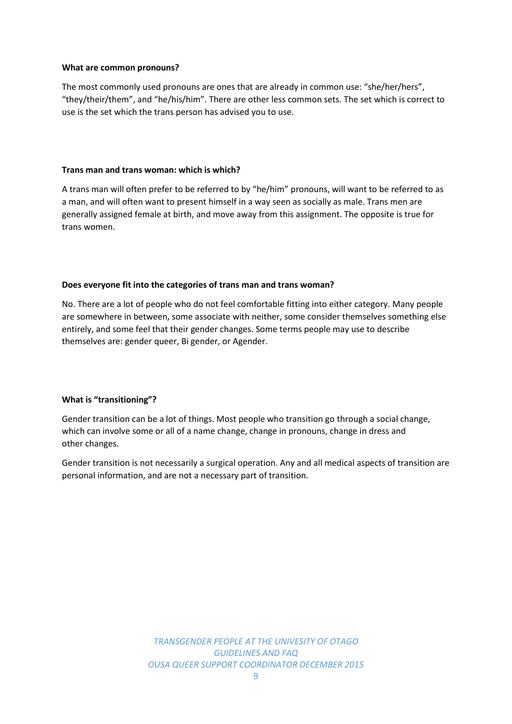#### **What are common pronouns?**

The most commonly used pronouns are ones that are already in common use: "she/her/hers", "they/their/them", and "he/his/him". There are other less common sets. The set which is correct to use is the set which the trans person has advised you to use.

#### **Trans man and trans woman: which is which?**

A trans man will often prefer to be referred to by "he/him" pronouns, will want to be referred to as a man, and will often want to present himself in a way seen as socially as male. Trans men are generally assigned female at birth, and move away from this assignment. The opposite is true for trans women.

#### **Does everyone fit into the categories of trans man and trans woman?**

No. There are a lot of people who do not feel comfortable fitting into either category. Many people are somewhere in between, some associate with neither, some consider themselves something else entirely, and some feel that their gender changes. Some terms people may use to describe themselves are: gender queer, Bi gender, or Agender.

#### **What is "transitioning"?**

Gender transition can be a lot of things. Most people who transition go through a social change, which can involve some or all of a name change, change in pronouns, change in dress and other changes.

Gender transition is not necessarily a surgical operation. Any and all medical aspects of transition are personal information, and are not a necessary part of transition.